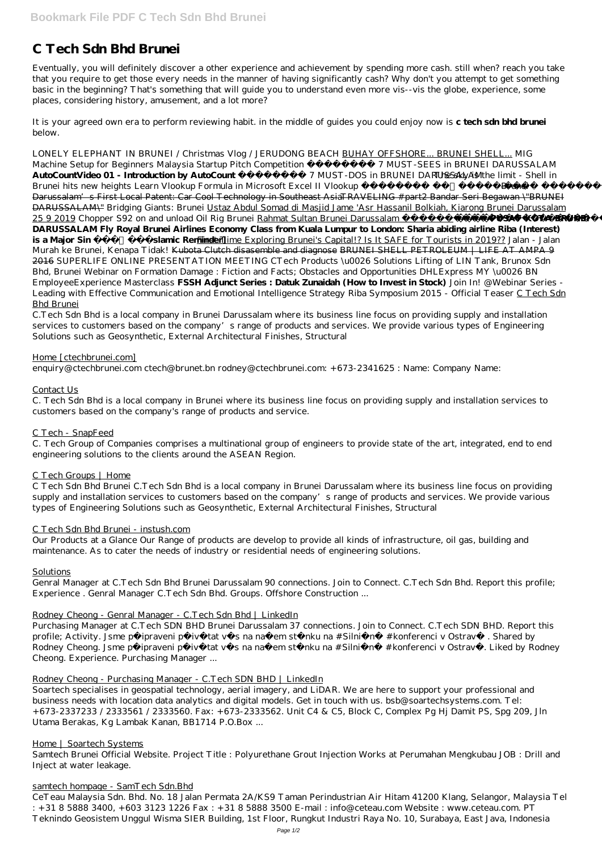# **C Tech Sdn Bhd Brunei**

Eventually, you will definitely discover a other experience and achievement by spending more cash. still when? reach you take that you require to get those every needs in the manner of having significantly cash? Why don't you attempt to get something basic in the beginning? That's something that will guide you to understand even more vis--vis the globe, experience, some places, considering history, amusement, and a lot more?

It is your agreed own era to perform reviewing habit. in the middle of guides you could enjoy now is **c tech sdn bhd brunei** below.

*LONELY ELEPHANT IN BRUNEI / Christmas Vlog / JERUDONG BEACH* BUHAY OFFSHORE... BRUNEI SHELL... MIG Machine Setup for Beginners Malaysia Startup Pitch Competition  *7 MUST-SEES in BRUNEI DARUSSALAM* **AutoCountVideo 01 - Introduction by AutoCount**  *7 MUST-DOS in BRUNEI DARUSSALAMThe sky is the limit - Shell in Brunei hits new heights Learn Vlookup Formula in Microsoft Excel II Vlookup* Sandardo Brunei Darussalam's First Local Patent: Car Cool Technology in Southeast AsiaTRAVELING #part2 Bandar Seri Begawan \"BRUNEI DARUSSALAM\" Bridging Giants: Brunei Ustaz Abdul Somad di Masjid Jame 'Asr Hassanil Bolkiah, Kiarong Brunei Darussalam 25 9 2019 *Chopper S92 on and unload Oil Rig Brunei* Rahmat Sultan Brunei Darussalam **PUSAT KOTA BRUNEI DARUSSALAM Fly Royal Brunei Airlines Economy Class from Kuala Lumpur to London: Sharia abiding airline Riba (Interest) is a Major Sin** [Islamic Reminder] First Time Exploring Brunei's Capital!? Is It SAFE for Tourists in 2019?? *Jalan - Jalan Murah ke Brunei, Kenapa Tidak!* Kubota Clutch disasemble and diagnose BRUNEI SHELL PETROLEUM | LIFE AT AMPA 9 2016 SUPERLIFE ONLINE PRESENTATION MEETING CTech Products \u0026 Solutions Lifting of LIN Tank, Brunox Sdn Bhd, Brunei *Webinar on Formation Damage : Fiction and Facts; Obstacles and Opportunities DHLExpress MY \u0026 BN EmployeeExperience Masterclass* **FSSH Adjunct Series : Datuk Zunaidah (How to Invest in Stock)** *Join In! @Webinar Series - Leading with Effective Communication and Emotional Intelligence Strategy Riba Symposium 2015 - Official Teaser* C Tech Sdn Bhd Brunei

Purchasing Manager at C.Tech SDN BHD Brunei Darussalam 37 connections. Join to Connect. C.Tech SDN BHD. Report this profile; Activity. Jsme připraveni přivítat vás na našem stánku na #Silniřní #konferenci v Ostravě. Shared by

Rodney Cheong. Jsme připraveni přivítat vás na našem stánku na #Silniřní #konferenci v Ostravř. Liked by Rodney Cheong. Experience. Purchasing Manager ...

C.Tech Sdn Bhd is a local company in Brunei Darussalam where its business line focus on providing supply and installation services to customers based on the company's range of products and services. We provide various types of Engineering Solutions such as Geosynthetic, External Architectural Finishes, Structural

# Home [ctechbrunei.com]

enquiry@ctechbrunei.com ctech@brunet.bn rodney@ctechbrunei.com: +673-2341625 : Name: Company Name:

# Contact Us

C. Tech Sdn Bhd is a local company in Brunei where its business line focus on providing supply and installation services to customers based on the company's range of products and service.

# C Tech - SnapFeed

C. Tech Group of Companies comprises a multinational group of engineers to provide state of the art, integrated, end to end engineering solutions to the clients around the ASEAN Region.

# C Tech Groups | Home

C Tech Sdn Bhd Brunei C.Tech Sdn Bhd is a local company in Brunei Darussalam where its business line focus on providing supply and installation services to customers based on the company's range of products and services. We provide various types of Engineering Solutions such as Geosynthetic, External Architectural Finishes, Structural

# C Tech Sdn Bhd Brunei - instush.com

Our Products at a Glance Our Range of products are develop to provide all kinds of infrastructure, oil gas, building and maintenance. As to cater the needs of industry or residential needs of engineering solutions.

# **Solutions**

Genral Manager at C.Tech Sdn Bhd Brunei Darussalam 90 connections. Join to Connect. C.Tech Sdn Bhd. Report this profile; Experience . Genral Manager C.Tech Sdn Bhd. Groups. Offshore Construction ...

# Rodney Cheong - Genral Manager - C.Tech Sdn Bhd | LinkedIn

## Rodney Cheong - Purchasing Manager - C.Tech SDN BHD | LinkedIn

Soartech specialises in geospatial technology, aerial imagery, and LiDAR. We are here to support your professional and business needs with location data analytics and digital models. Get in touch with us. bsb@soartechsystems.com. Tel: +673-2337233 / 2333561 / 2333560. Fax: +673-2333562. Unit C4 & C5, Block C, Complex Pg Hj Damit PS, Spg 209, Jln Utama Berakas, Kg Lambak Kanan, BB1714 P.O.Box ...

#### Home | Soartech Systems

Samtech Brunei Official Website. Project Title : Polyurethane Grout Injection Works at Perumahan Mengkubau JOB : Drill and Inject at water leakage.

#### samtech hompage - SamTech Sdn.Bhd

CeTeau Malaysia Sdn. Bhd. No. 18 Jalan Permata 2A/KS9 Taman Perindustrian Air Hitam 41200 Klang, Selangor, Malaysia Tel : +31 8 5888 3400, +603 3123 1226 Fax : +31 8 5888 3500 E-mail : info@ceteau.com Website : www.ceteau.com. PT Teknindo Geosistem Unggul Wisma SIER Building, 1st Floor, Rungkut Industri Raya No. 10, Surabaya, East Java, Indonesia